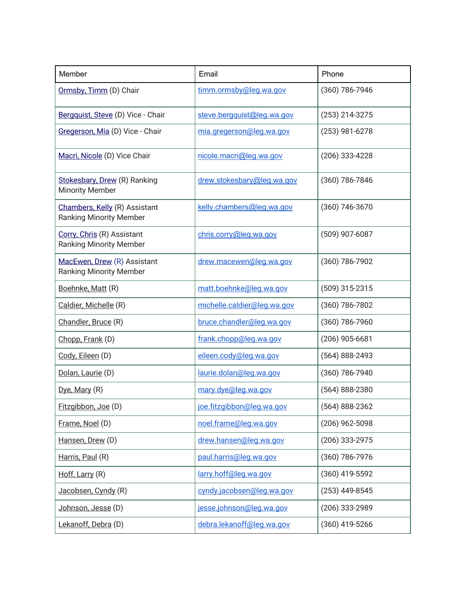| Member                                                          | Email                       | Phone              |
|-----------------------------------------------------------------|-----------------------------|--------------------|
| Ormsby, Timm (D) Chair                                          | timm.ormsby@leg.wa.gov      | (360) 786-7946     |
| Bergquist, Steve (D) Vice - Chair                               | steve.bergquist@leg.wa.gov  | (253) 214-3275     |
| Gregerson, Mia (D) Vice - Chair                                 | mia.gregerson@leg.wa.gov    | (253) 981-6278     |
| Macri, Nicole (D) Vice Chair                                    | nicole.macri@leg.wa.gov     | (206) 333-4228     |
| Stokesbary, Drew (R) Ranking<br><b>Minority Member</b>          | drew.stokesbary@leg.wa.gov  | (360) 786-7846     |
| Chambers, Kelly (R) Assistant<br><b>Ranking Minority Member</b> | kelly.chambers@leg.wa.gov   | (360) 746-3670     |
| Corry, Chris (R) Assistant<br><b>Ranking Minority Member</b>    | chris.corry@leg.wa.gov      | (509) 907-6087     |
| MacEwen, Drew (R) Assistant<br><b>Ranking Minority Member</b>   | drew.macewen@leg.wa.gov     | (360) 786-7902     |
| Boehnke, Matt (R)                                               | matt.boehnke@leg.wa.gov     | (509) 315-2315     |
| Caldier, Michelle (R)                                           | michelle.caldier@leg.wa.gov | (360) 786-7802     |
| Chandler, Bruce (R)                                             | bruce.chandler@leg.wa.gov   | (360) 786-7960     |
| Chopp, Frank (D)                                                | frank.chopp@leg.wa.gov      | $(206)$ 905-6681   |
| Cody, Eileen (D)                                                | eileen.cody@leg.wa.gov      | (564) 888-2493     |
| Dolan, Laurie (D)                                               | laurie.dolan@leg.wa.gov     | (360) 786-7940     |
| Dye, Mary (R)                                                   | mary.dye@leg.wa.gov         | $(564) 888 - 2380$ |
| Fitzgibbon, Joe (D)                                             | joe.fitzgibbon@leg.wa.gov   | (564) 888-2362     |
| Frame, Noel (D)                                                 | noel.frame@leg.wa.gov       | (206) 962-5098     |
| Hansen, Drew (D)                                                | drew.hansen@leg.wa.gov      | (206) 333-2975     |
| Harris, Paul (R)                                                | paul.harris@leg.wa.gov      | (360) 786-7976     |
| Hoff, Larry (R)                                                 | larry.hoff@leg.wa.gov       | (360) 419-5592     |
| Jacobsen, Cyndy (R)                                             | cyndy.jacobsen@leg.wa.gov   | (253) 449-8545     |
| Johnson, Jesse (D)                                              | jesse.johnson@leg.wa.gov    | (206) 333-2989     |
| Lekanoff, Debra (D)                                             | debra.lekanoff@leg.wa.gov   | (360) 419-5266     |